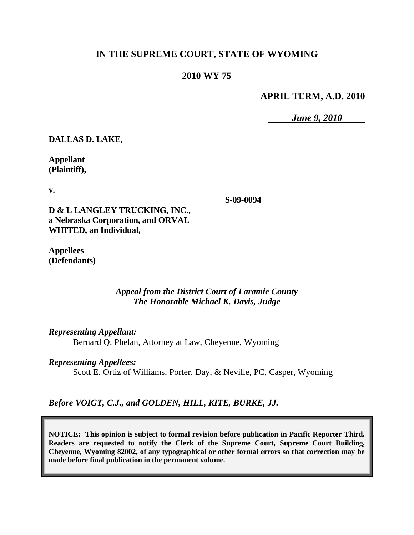# **IN THE SUPREME COURT, STATE OF WYOMING**

# **2010 WY 75**

### **APRIL TERM, A.D. 2010**

*June 9, 2010*

**DALLAS D. LAKE,**

**Appellant (Plaintiff),**

**v.**

**D & L LANGLEY TRUCKING, INC., a Nebraska Corporation, and ORVAL WHITED, an Individual,**

**S-09-0094**

**Appellees (Defendants)**

## *Appeal from the District Court of Laramie County The Honorable Michael K. Davis, Judge*

*Representing Appellant:*

Bernard Q. Phelan, Attorney at Law, Cheyenne, Wyoming

#### *Representing Appellees:*

Scott E. Ortiz of Williams, Porter, Day, & Neville, PC, Casper, Wyoming

*Before VOIGT, C.J., and GOLDEN, HILL, KITE, BURKE, JJ.*

**NOTICE: This opinion is subject to formal revision before publication in Pacific Reporter Third. Readers are requested to notify the Clerk of the Supreme Court, Supreme Court Building, Cheyenne, Wyoming 82002, of any typographical or other formal errors so that correction may be made before final publication in the permanent volume.**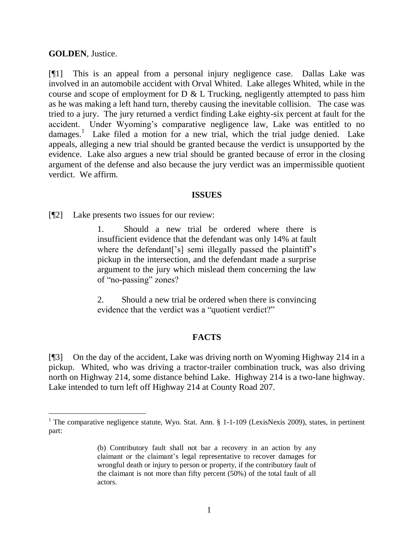### **GOLDEN**, Justice.

 $\overline{a}$ 

[¶1] This is an appeal from a personal injury negligence case. Dallas Lake was involved in an automobile accident with Orval Whited. Lake alleges Whited, while in the course and scope of employment for D & L Trucking, negligently attempted to pass him as he was making a left hand turn, thereby causing the inevitable collision. The case was tried to a jury. The jury returned a verdict finding Lake eighty-six percent at fault for the accident. Under Wyoming's comparative negligence law, Lake was entitled to no damages.<sup>1</sup> Lake filed a motion for a new trial, which the trial judge denied. Lake appeals, alleging a new trial should be granted because the verdict is unsupported by the evidence. Lake also argues a new trial should be granted because of error in the closing argument of the defense and also because the jury verdict was an impermissible quotient verdict. We affirm.

#### **ISSUES**

[¶2] Lake presents two issues for our review:

1. Should a new trial be ordered where there is insufficient evidence that the defendant was only 14% at fault where the defendant<sup>['s]</sup> semi illegally passed the plaintiff's pickup in the intersection, and the defendant made a surprise argument to the jury which mislead them concerning the law of "no-passing" zones?

2. Should a new trial be ordered when there is convincing evidence that the verdict was a "quotient verdict?"

### **FACTS**

[¶3] On the day of the accident, Lake was driving north on Wyoming Highway 214 in a pickup. Whited, who was driving a tractor-trailer combination truck, was also driving north on Highway 214, some distance behind Lake. Highway 214 is a two-lane highway. Lake intended to turn left off Highway 214 at County Road 207.

<sup>&</sup>lt;sup>1</sup> The comparative negligence statute, Wyo. Stat. Ann.  $\S$  1-1-109 (LexisNexis 2009), states, in pertinent part:

<sup>(</sup>b) Contributory fault shall not bar a recovery in an action by any claimant or the claimant's legal representative to recover damages for wrongful death or injury to person or property, if the contributory fault of the claimant is not more than fifty percent (50%) of the total fault of all actors.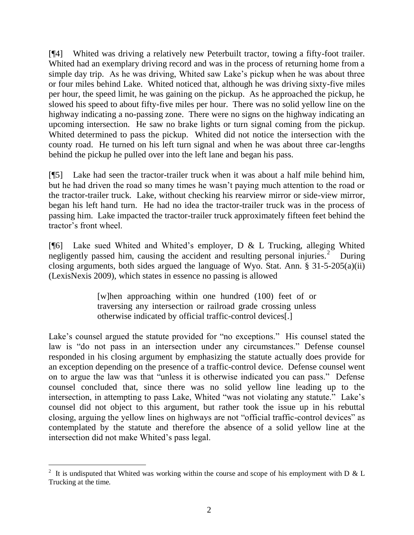[¶4] Whited was driving a relatively new Peterbuilt tractor, towing a fifty-foot trailer. Whited had an exemplary driving record and was in the process of returning home from a simple day trip. As he was driving, Whited saw Lake's pickup when he was about three or four miles behind Lake. Whited noticed that, although he was driving sixty-five miles per hour, the speed limit, he was gaining on the pickup. As he approached the pickup, he slowed his speed to about fifty-five miles per hour. There was no solid yellow line on the highway indicating a no-passing zone. There were no signs on the highway indicating an upcoming intersection. He saw no brake lights or turn signal coming from the pickup. Whited determined to pass the pickup. Whited did not notice the intersection with the county road. He turned on his left turn signal and when he was about three car-lengths behind the pickup he pulled over into the left lane and began his pass.

[¶5] Lake had seen the tractor-trailer truck when it was about a half mile behind him, but he had driven the road so many times he wasn't paying much attention to the road or the tractor-trailer truck. Lake, without checking his rearview mirror or side-view mirror, began his left hand turn. He had no idea the tractor-trailer truck was in the process of passing him. Lake impacted the tractor-trailer truck approximately fifteen feet behind the tractor's front wheel.

[¶6] Lake sued Whited and Whited's employer, D & L Trucking, alleging Whited negligently passed him, causing the accident and resulting personal injuries.<sup>2</sup> During closing arguments, both sides argued the language of Wyo. Stat. Ann. § 31-5-205(a)(ii) (LexisNexis 2009), which states in essence no passing is allowed

> [w]hen approaching within one hundred (100) feet of or traversing any intersection or railroad grade crossing unless otherwise indicated by official traffic-control devices[.]

Lake's counsel argued the statute provided for "no exceptions." His counsel stated the law is "do not pass in an intersection under any circumstances." Defense counsel responded in his closing argument by emphasizing the statute actually does provide for an exception depending on the presence of a traffic-control device. Defense counsel went on to argue the law was that "unless it is otherwise indicated you can pass." Defense counsel concluded that, since there was no solid yellow line leading up to the intersection, in attempting to pass Lake, Whited "was not violating any statute." Lake's counsel did not object to this argument, but rather took the issue up in his rebuttal closing, arguing the yellow lines on highways are not "official traffic-control devices" as contemplated by the statute and therefore the absence of a solid yellow line at the intersection did not make Whited's pass legal.

 $\overline{a}$ 

<sup>&</sup>lt;sup>2</sup> It is undisputed that Whited was working within the course and scope of his employment with D & L Trucking at the time.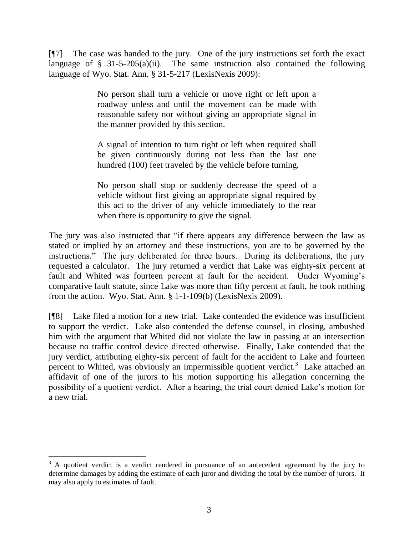[¶7] The case was handed to the jury. One of the jury instructions set forth the exact language of  $\S$  31-5-205(a)(ii). The same instruction also contained the following language of Wyo. Stat. Ann. § 31-5-217 (LexisNexis 2009):

> No person shall turn a vehicle or move right or left upon a roadway unless and until the movement can be made with reasonable safety nor without giving an appropriate signal in the manner provided by this section.

> A signal of intention to turn right or left when required shall be given continuously during not less than the last one hundred (100) feet traveled by the vehicle before turning.

> No person shall stop or suddenly decrease the speed of a vehicle without first giving an appropriate signal required by this act to the driver of any vehicle immediately to the rear when there is opportunity to give the signal.

The jury was also instructed that "if there appears any difference between the law as stated or implied by an attorney and these instructions, you are to be governed by the instructions." The jury deliberated for three hours. During its deliberations, the jury requested a calculator. The jury returned a verdict that Lake was eighty-six percent at fault and Whited was fourteen percent at fault for the accident. Under Wyoming's comparative fault statute, since Lake was more than fifty percent at fault, he took nothing from the action. Wyo. Stat. Ann. § 1-1-109(b) (LexisNexis 2009).

[¶8] Lake filed a motion for a new trial. Lake contended the evidence was insufficient to support the verdict. Lake also contended the defense counsel, in closing, ambushed him with the argument that Whited did not violate the law in passing at an intersection because no traffic control device directed otherwise. Finally, Lake contended that the jury verdict, attributing eighty-six percent of fault for the accident to Lake and fourteen percent to Whited, was obviously an impermissible quotient verdict.<sup>3</sup> Lake attached an affidavit of one of the jurors to his motion supporting his allegation concerning the possibility of a quotient verdict. After a hearing, the trial court denied Lake's motion for a new trial.

 $\overline{a}$ 

 $3$  A quotient verdict is a verdict rendered in pursuance of an antecedent agreement by the jury to determine damages by adding the estimate of each juror and dividing the total by the number of jurors. It may also apply to estimates of fault.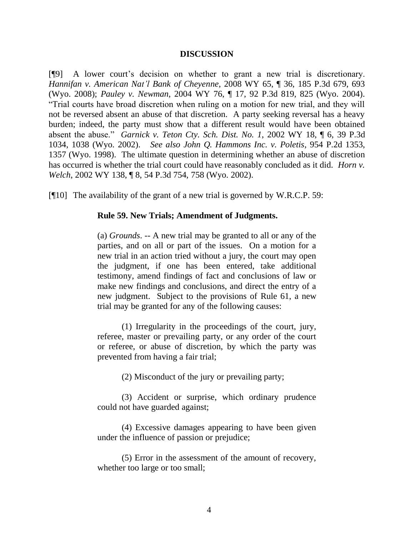#### **DISCUSSION**

[¶9] A lower court's decision on whether to grant a new trial is discretionary. *Hannifan v. American Nat'l Bank of Cheyenne*, 2008 WY 65, ¶ 36, 185 P.3d 679, 693 (Wyo. 2008); *Pauley v. Newman*, 2004 WY 76, ¶ 17, 92 P.3d 819, 825 (Wyo. 2004). "Trial courts have broad discretion when ruling on a motion for new trial, and they will not be reversed absent an abuse of that discretion. A party seeking reversal has a heavy burden; indeed, the party must show that a different result would have been obtained absent the abuse." *Garnick v. Teton Cty. Sch. Dist. No. 1*, 2002 WY 18, ¶ 6, 39 P.3d 1034, 1038 (Wyo. 2002). *See also John Q. Hammons Inc. v. Poletis*, 954 P.2d 1353, 1357 (Wyo. 1998). The ultimate question in determining whether an abuse of discretion has occurred is whether the trial court could have reasonably concluded as it did. *Horn v. Welch*, 2002 WY 138, ¶ 8, 54 P.3d 754, 758 (Wyo. 2002).

[¶10] The availability of the grant of a new trial is governed by W.R.C.P. 59:

#### **Rule 59. New Trials; Amendment of Judgments.**

(a) *Grounds*. -- A new trial may be granted to all or any of the parties, and on all or part of the issues. On a motion for a new trial in an action tried without a jury, the court may open the judgment, if one has been entered, take additional testimony, amend findings of fact and conclusions of law or make new findings and conclusions, and direct the entry of a new judgment. Subject to the provisions of Rule 61, a new trial may be granted for any of the following causes:

(1) Irregularity in the proceedings of the court, jury, referee, master or prevailing party, or any order of the court or referee, or abuse of discretion, by which the party was prevented from having a fair trial;

(2) Misconduct of the jury or prevailing party;

(3) Accident or surprise, which ordinary prudence could not have guarded against;

(4) Excessive damages appearing to have been given under the influence of passion or prejudice;

(5) Error in the assessment of the amount of recovery, whether too large or too small;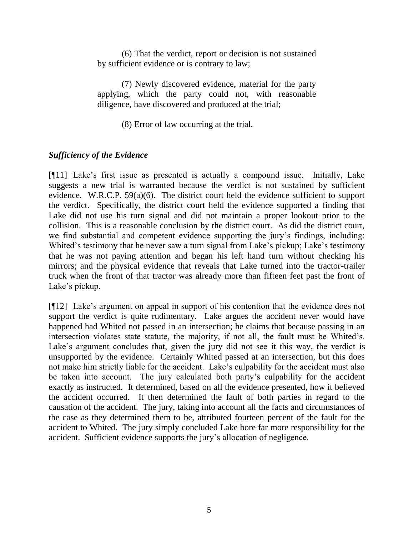(6) That the verdict, report or decision is not sustained by sufficient evidence or is contrary to law;

(7) Newly discovered evidence, material for the party applying, which the party could not, with reasonable diligence, have discovered and produced at the trial;

(8) Error of law occurring at the trial.

# *Sufficiency of the Evidence*

[¶11] Lake's first issue as presented is actually a compound issue. Initially, Lake suggests a new trial is warranted because the verdict is not sustained by sufficient evidence. W.R.C.P. 59(a)(6). The district court held the evidence sufficient to support the verdict. Specifically, the district court held the evidence supported a finding that Lake did not use his turn signal and did not maintain a proper lookout prior to the collision. This is a reasonable conclusion by the district court. As did the district court, we find substantial and competent evidence supporting the jury's findings, including: Whited's testimony that he never saw a turn signal from Lake's pickup; Lake's testimony that he was not paying attention and began his left hand turn without checking his mirrors; and the physical evidence that reveals that Lake turned into the tractor-trailer truck when the front of that tractor was already more than fifteen feet past the front of Lake's pickup.

[¶12] Lake's argument on appeal in support of his contention that the evidence does not support the verdict is quite rudimentary. Lake argues the accident never would have happened had Whited not passed in an intersection; he claims that because passing in an intersection violates state statute, the majority, if not all, the fault must be Whited's. Lake's argument concludes that, given the jury did not see it this way, the verdict is unsupported by the evidence. Certainly Whited passed at an intersection, but this does not make him strictly liable for the accident. Lake's culpability for the accident must also be taken into account. The jury calculated both party's culpability for the accident exactly as instructed. It determined, based on all the evidence presented, how it believed the accident occurred. It then determined the fault of both parties in regard to the causation of the accident. The jury, taking into account all the facts and circumstances of the case as they determined them to be, attributed fourteen percent of the fault for the accident to Whited. The jury simply concluded Lake bore far more responsibility for the accident. Sufficient evidence supports the jury's allocation of negligence.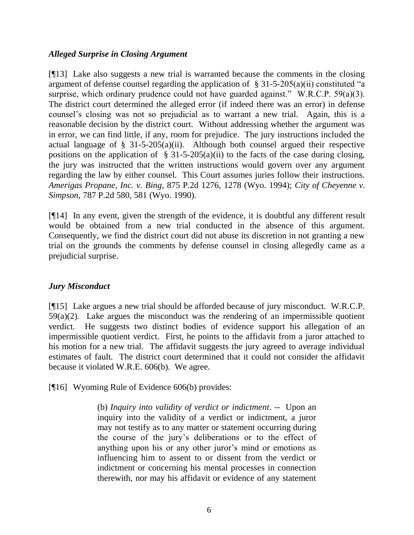### *Alleged Surprise in Closing Argument*

[¶13] Lake also suggests a new trial is warranted because the comments in the closing argument of defense counsel regarding the application of  $\S$  31-5-205(a)(ii) constituted "a surprise, which ordinary prudence could not have guarded against." W.R.C.P. 59(a)(3). The district court determined the alleged error (if indeed there was an error) in defense counsel's closing was not so prejudicial as to warrant a new trial. Again, this is a reasonable decision by the district court. Without addressing whether the argument was in error, we can find little, if any, room for prejudice. The jury instructions included the actual language of  $\S$  31-5-205(a)(ii). Although both counsel argued their respective positions on the application of  $\S$  31-5-205(a)(ii) to the facts of the case during closing, the jury was instructed that the written instructions would govern over any argument regarding the law by either counsel. This Court assumes juries follow their instructions. *Amerigas Propane, Inc. v. Bing*, 875 P.2d 1276, 1278 (Wyo. 1994); *City of Cheyenne v. Simpson*, 787 P.2d 580, 581 (Wyo. 1990).

[¶14] In any event, given the strength of the evidence, it is doubtful any different result would be obtained from a new trial conducted in the absence of this argument. Consequently, we find the district court did not abuse its discretion in not granting a new trial on the grounds the comments by defense counsel in closing allegedly came as a prejudicial surprise.

# *Jury Misconduct*

[¶15] Lake argues a new trial should be afforded because of jury misconduct. W.R.C.P.  $59(a)(2)$ . Lake argues the misconduct was the rendering of an impermissible quotient verdict. He suggests two distinct bodies of evidence support his allegation of an impermissible quotient verdict. First, he points to the affidavit from a juror attached to his motion for a new trial. The affidavit suggests the jury agreed to average individual estimates of fault. The district court determined that it could not consider the affidavit because it violated W.R.E. 606(b). We agree.

[¶16] Wyoming Rule of Evidence 606(b) provides:

(b) *Inquiry into validity of verdict or indictment*. -- Upon an inquiry into the validity of a verdict or indictment, a juror may not testify as to any matter or statement occurring during the course of the jury's deliberations or to the effect of anything upon his or any other juror's mind or emotions as influencing him to assent to or dissent from the verdict or indictment or concerning his mental processes in connection therewith, nor may his affidavit or evidence of any statement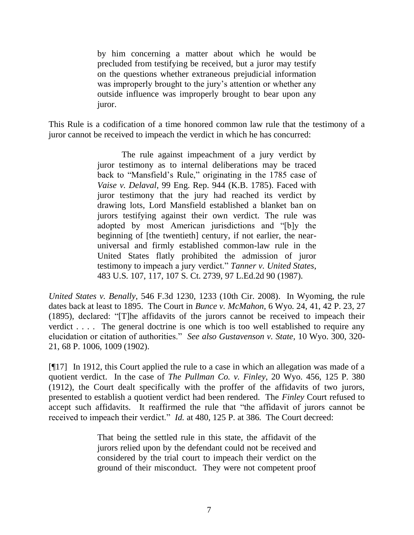by him concerning a matter about which he would be precluded from testifying be received, but a juror may testify on the questions whether extraneous prejudicial information was improperly brought to the jury's attention or whether any outside influence was improperly brought to bear upon any juror.

This Rule is a codification of a time honored common law rule that the testimony of a juror cannot be received to impeach the verdict in which he has concurred:

> The rule against impeachment of a jury verdict by juror testimony as to internal deliberations may be traced back to "Mansfield's Rule," originating in the 1785 case of *Vaise v. Delaval*, 99 Eng. Rep. 944 (K.B. 1785). Faced with juror testimony that the jury had reached its verdict by drawing lots, Lord Mansfield established a blanket ban on jurors testifying against their own verdict. The rule was adopted by most American jurisdictions and "[b]y the beginning of [the twentieth] century, if not earlier, the nearuniversal and firmly established common-law rule in the United States flatly prohibited the admission of juror testimony to impeach a jury verdict." *Tanner v. United States*, 483 U.S. 107, 117, 107 S. Ct. 2739, 97 L.Ed.2d 90 (1987).

*United States v. Benally*, 546 F.3d 1230, 1233 (10th Cir. 2008). In Wyoming, the rule dates back at least to 1895. The Court in *Bunce v. McMahon*, 6 Wyo. 24, 41, 42 P. 23, 27 (1895), declared: "[T]he affidavits of the jurors cannot be received to impeach their verdict . . . . The general doctrine is one which is too well established to require any elucidation or citation of authorities." *See also Gustavenson v. State*, 10 Wyo. 300, 320- 21, 68 P. 1006, 1009 (1902).

[¶17] In 1912, this Court applied the rule to a case in which an allegation was made of a quotient verdict. In the case of *The Pullman Co. v. Finley*, 20 Wyo. 456, 125 P. 380 (1912), the Court dealt specifically with the proffer of the affidavits of two jurors, presented to establish a quotient verdict had been rendered. The *Finley* Court refused to accept such affidavits. It reaffirmed the rule that "the affidavit of jurors cannot be received to impeach their verdict." *Id.* at 480, 125 P. at 386. The Court decreed:

> That being the settled rule in this state, the affidavit of the jurors relied upon by the defendant could not be received and considered by the trial court to impeach their verdict on the ground of their misconduct. They were not competent proof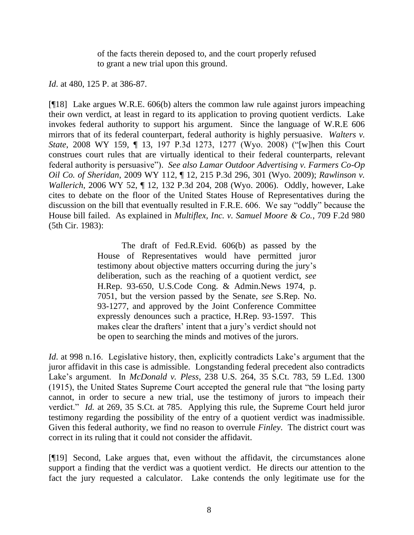of the facts therein deposed to, and the court properly refused to grant a new trial upon this ground.

*Id*. at 480, 125 P. at 386-87.

[¶18] Lake argues W.R.E. 606(b) alters the common law rule against jurors impeaching their own verdict, at least in regard to its application to proving quotient verdicts. Lake invokes federal authority to support his argument. Since the language of W.R.E 606 mirrors that of its federal counterpart, federal authority is highly persuasive. *Walters v. State*, 2008 WY 159, ¶ 13, 197 P.3d 1273, 1277 (Wyo. 2008) ("[w]hen this Court construes court rules that are virtually identical to their federal counterparts, relevant federal authority is persuasive"). *See also Lamar Outdoor Advertising v. Farmers Co-Op Oil Co. of Sheridan*, 2009 WY 112, ¶ 12, 215 P.3d 296, 301 (Wyo. 2009); *Rawlinson v. Wallerich*, 2006 WY 52, ¶ 12, 132 P.3d 204, 208 (Wyo. 2006). Oddly, however, Lake cites to debate on the floor of the United States House of Representatives during the discussion on the bill that eventually resulted in F.R.E. 606. We say "oddly" because the House bill failed. As explained in *Multiflex, Inc. v. Samuel Moore & Co.*, 709 F.2d 980 (5th Cir. 1983):

> The draft of Fed.R.Evid. 606(b) as passed by the House of Representatives would have permitted juror testimony about objective matters occurring during the jury's deliberation, such as the reaching of a quotient verdict, *see* H.Rep. 93-650, U.S.Code Cong. & Admin.News 1974, p. 7051, but the version passed by the Senate, *see* S.Rep. No. 93-1277, and approved by the Joint Conference Committee expressly denounces such a practice, H.Rep. 93-1597. This makes clear the drafters' intent that a jury's verdict should not be open to searching the minds and motives of the jurors.

*Id.* at 998 n.16. Legislative history, then, explicitly contradicts Lake's argument that the juror affidavit in this case is admissible. Longstanding federal precedent also contradicts Lake's argument. In *McDonald v. Pless*, 238 U.S. 264, 35 S.Ct. 783, 59 L.Ed. 1300 (1915), the United States Supreme Court accepted the general rule that "the losing party cannot, in order to secure a new trial, use the testimony of jurors to impeach their verdict." *Id.* at 269, 35 S.Ct. at 785. Applying this rule, the Supreme Court held juror testimony regarding the possibility of the entry of a quotient verdict was inadmissible. Given this federal authority, we find no reason to overrule *Finley*. The district court was correct in its ruling that it could not consider the affidavit.

[¶19] Second, Lake argues that, even without the affidavit, the circumstances alone support a finding that the verdict was a quotient verdict. He directs our attention to the fact the jury requested a calculator. Lake contends the only legitimate use for the